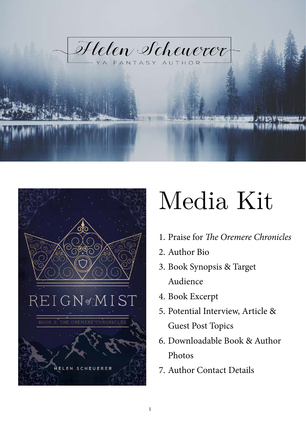



# Media Kit

- 1. Praise for *The Oremere Chronicles*
- 2. Author Bio
- 3. Book Synopsis & Target Audience
- 4. Book Excerpt
- 5. Potential Interview, Article & Guest Post Topics
- 6. Downloadable Book & Author Photos
- 7. Author Contact Details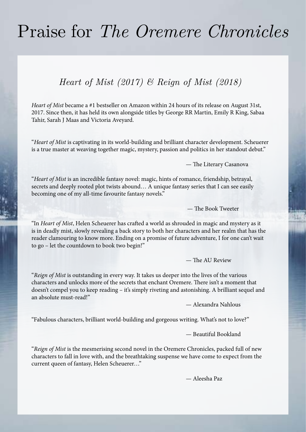# Praise for *The Oremere Chronicles*

### *Heart of Mist (2017) & Reign of Mist (2018)*

*Heart of Mist* became a #1 bestseller on Amazon within 24 hours of its release on August 31st, 2017. Since then, it has held its own alongside titles by George RR Martin, Emily R King, Sabaa Tahir, Sarah J Maas and Victoria Aveyard.

"*Heart of Mist* is captivating in its world-building and brilliant character development. Scheuerer is a true master at weaving together magic, mystery, passion and politics in her standout debut."

— The Literary Casanova

"*Heart of Mist* is an incredible fantasy novel: magic, hints of romance, friendship, betrayal, secrets and deeply rooted plot twists abound... A unique fantasy series that I can see easily becoming one of my all-time favourite fantasy novels."

— The Book Tweeter

"In *Heart of Mist*, Helen Scheuerer has crafted a world as shrouded in magic and mystery as it is in deadly mist, slowly revealing a back story to both her characters and her realm that has the reader clamouring to know more. Ending on a promise of future adventure, I for one can't wait to go – let the countdown to book two begin!"

— The AU Review

"*Reign of Mist* is outstanding in every way. It takes us deeper into the lives of the various characters and unlocks more of the secrets that enchant Oremere. There isn't a moment that doesn't compel you to keep reading – it's simply riveting and astonishing. A brilliant sequel and an absolute must-read!"

— Alexandra Nahlous

"Fabulous characters, brilliant world-building and gorgeous writing. What's not to love?"

— Beautiful Bookland

"*Reign of Mist* is the mesmerising second novel in the Oremere Chronicles, packed full of new characters to fall in love with, and the breathtaking suspense we have come to expect from the current queen of fantasy, Helen Scheuerer…"

— Aleesha Paz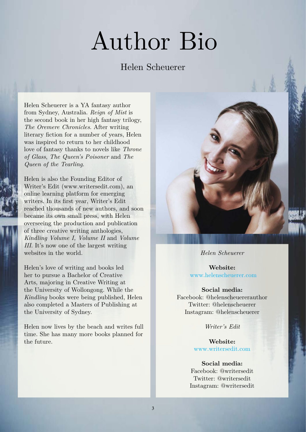# Author Bio

### Helen Scheuerer

Helen Scheuerer is a YA fantasy author from Sydney, Australia. *Reign of Mist* is the second book in her high fantasy trilogy, *The Oremere Chronicles*. After writing literary fiction for a number of years, Helen was inspired to return to her childhood love of fantasy thanks to novels like *Throne of Glass*, *The Queen's Poisoner* and *The Queen of the Tearling*.

Helen is also the Founding Editor of Writer's Edit (www.writersedit.com), an online learning platform for emerging writers. In its first year, Writer's Edit reached thousands of new authors, and soon became its own small press, with Helen overseeing the production and publication of three creative writing anthologies, *Kindling Volume I, Volume II* and *Volume III*. It's now one of the largest writing websites in the world.

Helen's love of writing and books led her to pursue a Bachelor of Creative Arts, majoring in Creative Writing at the University of Wollongong. While the *Kindling* books were being published, Helen also completed a Masters of Publishing at the University of Sydney.

Helen now lives by the beach and writes full time. She has many more books planned for the future.



*Helen Scheuerer*

**Website:** [www.helenscheuerer.com](http://helenscheuerer.com/)

#### **Social media:**

Facebook: @helenscheuererauthor Twitter: @helenscheuerer Instagram: @helenscheuerer

*Writer's Edit*

**Website:** [www.writersedit.com](http://www.writersedit.com/)

#### **Social media:**

Facebook: @writersedit Twitter: @writersedit Instagram: @writersedit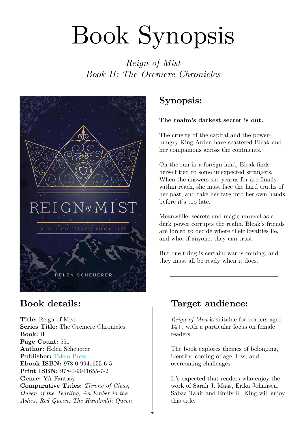# Book Synopsis

*Reign of Mist Book II: The Oremere Chronicles*



**Title:** Reign of Mist **Series Title:** The Oremere Chronicles **Book:** II **Page Count:** 551 **Author:** Helen Scheuerer **Publisher:** [Talem Press](http://www.talempress.com/) **Ebook ISBN:** 978-0-9941655-6-5 **Print ISBN:** 978-0-9941655-7-2 **Genre:** YA Fantasy **Comparative Titles:** *Throne of Glass, Queen of the Tearling, An Ember in the Ashes, Red Queen, The Hundredth Queen*

# **Synopsis:**

### **The realm's darkest secret is out.**

The cruelty of the capital and the powerhungry King Arden have scattered Bleak and her companions across the continents.

On the run in a foreign land, Bleak finds herself tied to some unexpected strangers. When the answers she yearns for are finally within reach, she must face the hard truths of her past, and take her fate into her own hands before it's too late.

Meanwhile, secrets and magic unravel as a dark power corrupts the realm. Bleak's friends are forced to decide where their loyalties lie, and who, if anyone, they can trust.

But one thing is certain: war is coming, and they must all be ready when it does.

# **Book details: Target audience:**

*Reign of Mist* is suitable for readers aged 14+, with a particular focus on female readers.

The book explores themes of belonging, identity, coming of age, loss, and overcoming challenges.

It's expected that readers who enjoy the work of Sarah J. Maas, Erika Johansen, Sabaa Tahir and Emily R. King will enjoy this title.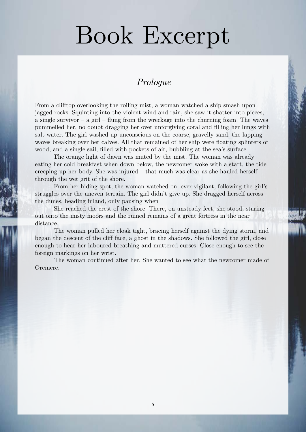# Book Excerpt

### *Prologue*

From a clifftop overlooking the roiling mist, a woman watched a ship smash upon jagged rocks. Squinting into the violent wind and rain, she saw it shatter into pieces, a single survivor – a girl – flung from the wreckage into the churning foam. The waves pummelled her, no doubt dragging her over unforgiving coral and filling her lungs with salt water. The girl washed up unconscious on the coarse, gravelly sand, the lapping waves breaking over her calves. All that remained of her ship were floating splinters of wood, and a single sail, filled with pockets of air, bubbling at the sea's surface.

The orange light of dawn was muted by the mist. The woman was already eating her cold breakfast when down below, the newcomer woke with a start, the tide creeping up her body. She was injured – that much was clear as she hauled herself through the wet grit of the shore.

From her hiding spot, the woman watched on, ever vigilant, following the girl's struggles over the uneven terrain. The girl didn't give up. She dragged herself across the dunes, heading inland, only pausing when

She reached the crest of the shore. There, on unsteady feet, she stood, staring out onto the misty moors and the ruined remains of a great fortress in the near distance.

The woman pulled her cloak tight, bracing herself against the dying storm, and began the descent of the cliff face, a ghost in the shadows. She followed the girl, close enough to hear her laboured breathing and muttered curses. Close enough to see the foreign markings on her wrist.

The woman continued after her. She wanted to see what the newcomer made of Oremere.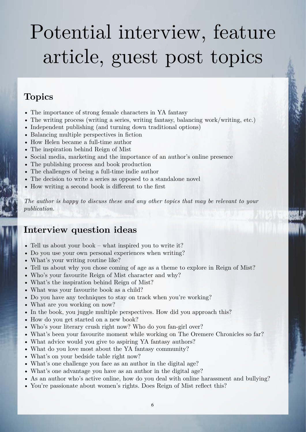# Potential interview, feature article, guest post topics

### **Topics**

- The importance of strong female characters in YA fantasy
- The writing process (writing a series, writing fantasy, balancing work/writing, etc.)
- Independent publishing (and turning down traditional options)
- Balancing multiple perspectives in fiction
- How Helen became a full-time author
- The inspiration behind Reign of Mist
- Social media, marketing and the importance of an author's online presence
- The publishing process and book production
- The challenges of being a full-time indie author
- The decision to write a series as opposed to a standalone novel
- How writing a second book is different to the first

*The author is happy to discuss these and any other topics that may be relevant to your publication.*

### **Interview question ideas**

- Tell us about your book what inspired you to write it?
- Do you use your own personal experiences when writing?
- What's your writing routine like?
- Tell us about why you chose coming of age as a theme to explore in Reign of Mist?
- Who's your favourite Reign of Mist character and why?
- What's the inspiration behind Reign of Mist?
- What was your favourite book as a child?
- Do you have any techniques to stay on track when you're working?
- What are you working on now?
- In the book, you juggle multiple perspectives. How did you approach this?
- How do you get started on a new book?
- Who's your literary crush right now? Who do you fan-girl over?
- What's been your favourite moment while working on The Oremere Chronicles so far?
- What advice would you give to aspiring YA fantasy authors?
- What do you love most about the YA fantasy community?
- What's on your bedside table right now?
- What's one challenge you face as an author in the digital age?
- What's one advantage you have as an author in the digital age?
- As an author who's active online, how do you deal with online harassment and bullying?
- You're passionate about women's rights. Does Reign of Mist reflect this?